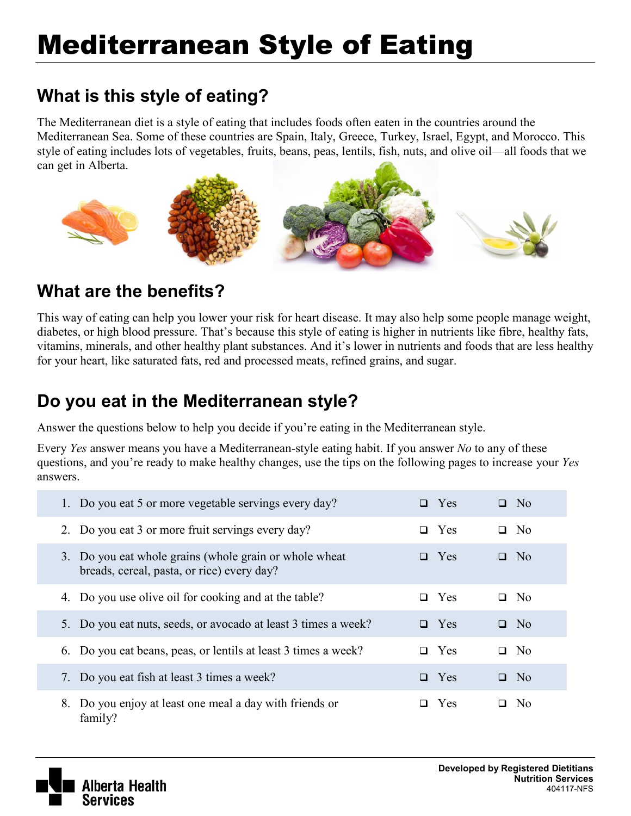# Mediterranean Style of Eating

# **What is this style of eating?**

The Mediterranean diet is a style of eating that includes foods often eaten in the countries around the Mediterranean Sea. Some of these countries are Spain, Italy, Greece, Turkey, Israel, Egypt, and Morocco. This style of eating includes lots of vegetables, fruits, beans, peas, lentils, fish, nuts, and olive oil—all foods that we can get in Alberta.



# **What are the benefits?**

This way of eating can help you lower your risk for heart disease. It may also help some people manage weight, diabetes, or high blood pressure. That's because this style of eating is higher in nutrients like fibre, healthy fats, vitamins, minerals, and other healthy plant substances. And it's lower in nutrients and foods that are less healthy for your heart, like saturated fats, red and processed meats, refined grains, and sugar.

### **Do you eat in the Mediterranean style?**

Answer the questions below to help you decide if you're eating in the Mediterranean style.

Every *Yes* answer means you have a Mediterranean-style eating habit. If you answer *No* to any of these questions, and you're ready to make healthy changes, use the tips on the following pages to increase your *Yes* answers.

| 1. Do you eat 5 or more vegetable servings every day?                                                | $\Box$ Yes    | $\Box$ No                |
|------------------------------------------------------------------------------------------------------|---------------|--------------------------|
| 2. Do you eat 3 or more fruit servings every day?                                                    | $\Box$ Yes    | N <sub>0</sub><br>$\Box$ |
| 3. Do you eat whole grains (whole grain or whole wheat<br>breads, cereal, pasta, or rice) every day? | $\Box$ Yes    | N <sub>0</sub><br>$\Box$ |
| 4. Do you use olive oil for cooking and at the table?                                                | $\Box$ Yes    | N <sub>0</sub><br>$\Box$ |
| 5. Do you eat nuts, seeds, or avocado at least 3 times a week?                                       | $\Box$ Yes    | No.<br>$\Box$            |
| 6. Do you eat beans, peas, or lentils at least 3 times a week?                                       | $\Box$ Yes    | N <sub>0</sub><br>$\Box$ |
| 7. Do you eat fish at least 3 times a week?                                                          | $\Box$ Yes    | $\Box$ No                |
| Do you enjoy at least one meal a day with friends or<br>8.<br>family?                                | Yes<br>$\Box$ | N <sub>0</sub><br>□      |

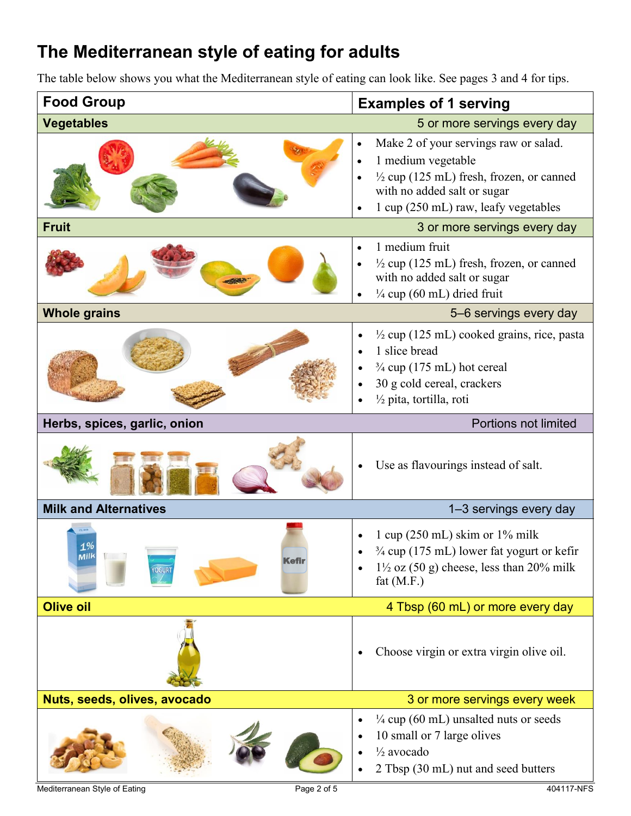# **The Mediterranean style of eating for adults**

The table below shows you what the Mediterranean style of eating can look like. See pages 3 and 4 for tips.



Mediterranean Style of Eating **Page 2 of 5** A04117-NFS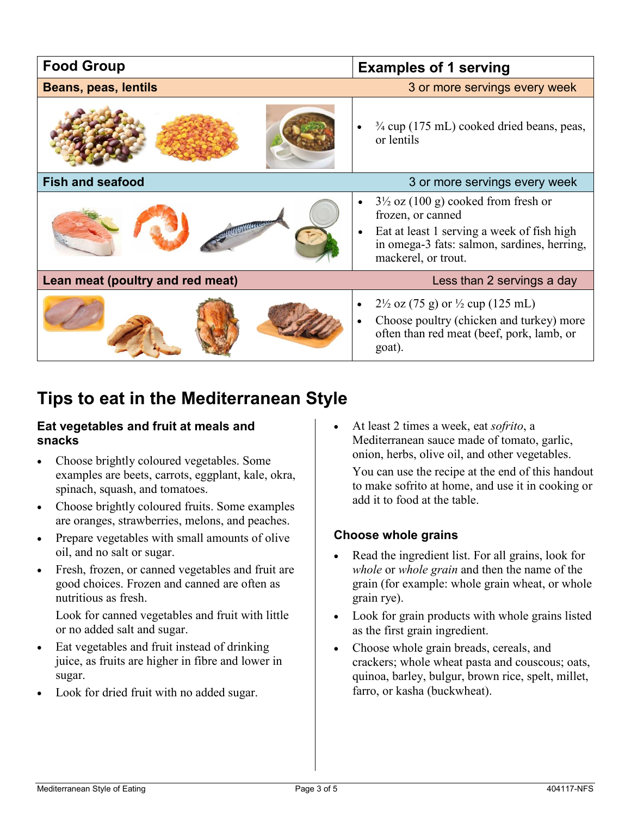| <b>Food Group</b>                                            | <b>Examples of 1 serving</b>                                                                                                                                           |  |  |
|--------------------------------------------------------------|------------------------------------------------------------------------------------------------------------------------------------------------------------------------|--|--|
| 3 or more servings every week<br><b>Beans, peas, lentils</b> |                                                                                                                                                                        |  |  |
|                                                              | $\frac{3}{4}$ cup (175 mL) cooked dried beans, peas,<br>or lentils                                                                                                     |  |  |
| <b>Fish and seafood</b>                                      | 3 or more servings every week                                                                                                                                          |  |  |
|                                                              | $3\frac{1}{2}$ oz (100 g) cooked from fresh or<br>$\bullet$<br>frozen, or canned                                                                                       |  |  |
|                                                              | Eat at least 1 serving a week of fish high<br>$\bullet$<br>in omega-3 fats: salmon, sardines, herring,<br>mackerel, or trout.                                          |  |  |
| Lean meat (poultry and red meat)                             | Less than 2 servings a day                                                                                                                                             |  |  |
|                                                              | $2\frac{1}{2}$ oz (75 g) or $\frac{1}{2}$ cup (125 mL)<br>$\bullet$<br>Choose poultry (chicken and turkey) more<br>often than red meat (beef, pork, lamb, or<br>goat). |  |  |

### **Tips to eat in the Mediterranean Style**

#### **Eat vegetables and fruit at meals and snacks**

- Choose brightly coloured vegetables. Some examples are beets, carrots, eggplant, kale, okra, spinach, squash, and tomatoes.
- Choose brightly coloured fruits. Some examples are oranges, strawberries, melons, and peaches.
- Prepare vegetables with small amounts of olive oil, and no salt or sugar.
- Fresh, frozen, or canned vegetables and fruit are good choices. Frozen and canned are often as nutritious as fresh.

Look for canned vegetables and fruit with little or no added salt and sugar.

- Eat vegetables and fruit instead of drinking juice, as fruits are higher in fibre and lower in sugar.
- Look for dried fruit with no added sugar.

 At least 2 times a week, eat *sofrito*, a Mediterranean sauce made of tomato, garlic, onion, herbs, olive oil, and other vegetables.

You can use the recipe at the end of this handout to make sofrito at home, and use it in cooking or add it to food at the table.

#### **Choose whole grains**

- Read the ingredient list. For all grains, look for *whole* or *whole grain* and then the name of the grain (for example: whole grain wheat, or whole grain rye).
- Look for grain products with whole grains listed as the first grain ingredient.
- Choose whole grain breads, cereals, and crackers; whole wheat pasta and couscous; oats, quinoa, barley, bulgur, brown rice, spelt, millet, farro, or kasha (buckwheat).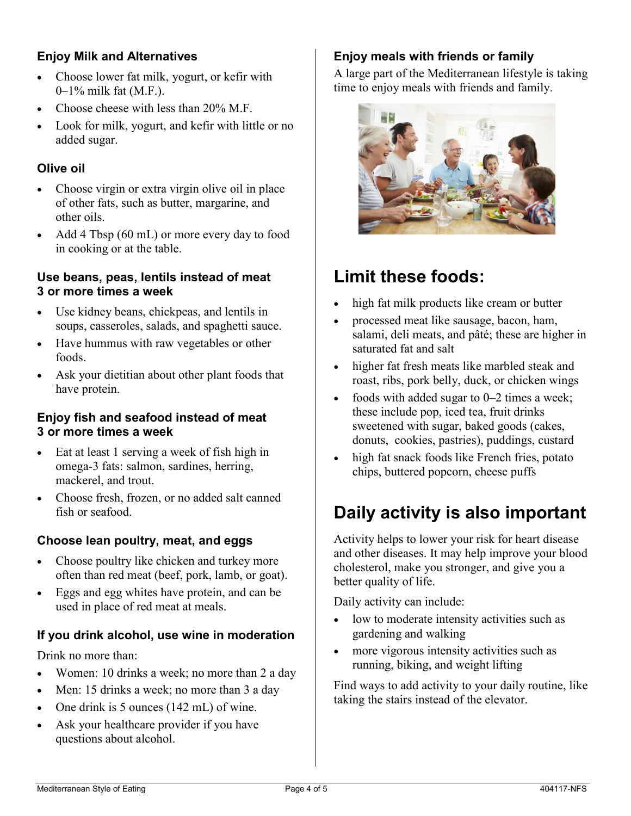#### **Enjoy Milk and Alternatives**

- Choose lower fat milk, yogurt, or kefir with 0–1% milk fat (M.F.).
- Choose cheese with less than 20% M.F.
- Look for milk, yogurt, and kefir with little or no added sugar.

#### **Olive oil**

- Choose virgin or extra virgin olive oil in place of other fats, such as butter, margarine, and other oils.
- Add 4 Tbsp (60 mL) or more every day to food in cooking or at the table.

#### **Use beans, peas, lentils instead of meat 3 or more times a week**

- Use kidney beans, chickpeas, and lentils in soups, casseroles, salads, and spaghetti sauce.
- Have hummus with raw vegetables or other foods.
- Ask your dietitian about other plant foods that have protein.

#### **Enjoy fish and seafood instead of meat 3 or more times a week**

- Eat at least 1 serving a week of fish high in omega-3 fats: salmon, sardines, herring, mackerel, and trout.
- Choose fresh, frozen, or no added salt canned fish or seafood.

#### **Choose lean poultry, meat, and eggs**

- Choose poultry like chicken and turkey more often than red meat (beef, pork, lamb, or goat).
- Eggs and egg whites have protein, and can be used in place of red meat at meals.

#### **If you drink alcohol, use wine in moderation**

Drink no more than:

- Women: 10 drinks a week; no more than 2 a day
- Men: 15 drinks a week; no more than 3 a day
- One drink is 5 ounces (142 mL) of wine.
- Ask your healthcare provider if you have questions about alcohol.

#### **Enjoy meals with friends or family**

A large part of the Mediterranean lifestyle is taking time to enjoy meals with friends and family.



# **Limit these foods:**

- high fat milk products like cream or butter
- processed meat like sausage, bacon, ham, salami, deli meats, and pâté; these are higher in saturated fat and salt
- higher fat fresh meats like marbled steak and roast, ribs, pork belly, duck, or chicken wings
- foods with added sugar to  $0-2$  times a week; these include pop, iced tea, fruit drinks sweetened with sugar, baked goods (cakes, donuts, cookies, pastries), puddings, custard
- high fat snack foods like French fries, potato chips, buttered popcorn, cheese puffs

# **Daily activity is also important**

Activity helps to lower your risk for heart disease and other diseases. It may help improve your blood cholesterol, make you stronger, and give you a better quality of life.

Daily activity can include:

- low to moderate intensity activities such as gardening and walking
- more vigorous intensity activities such as running, biking, and weight lifting

Find ways to add activity to your daily routine, like taking the stairs instead of the elevator.